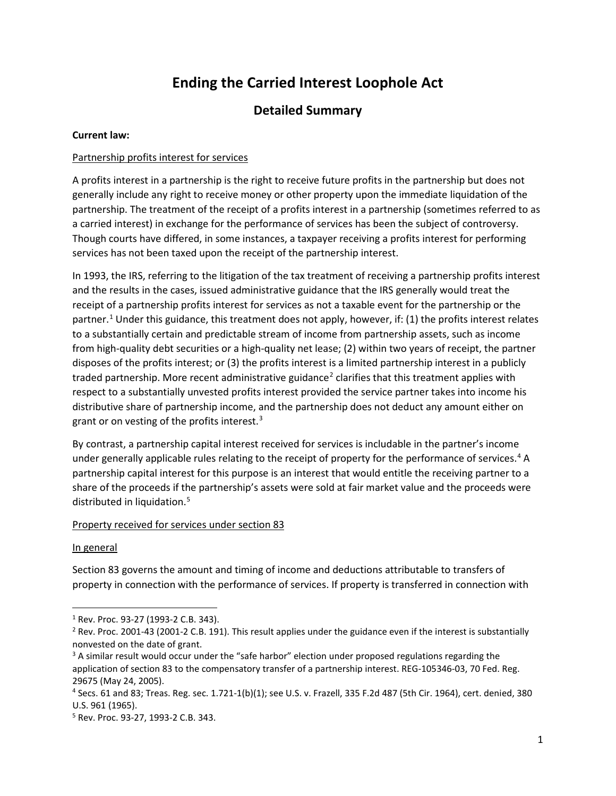# **Ending the Carried Interest Loophole Act**

# **Detailed Summary**

# **Current law:**

# Partnership profits interest for services

A profits interest in a partnership is the right to receive future profits in the partnership but does not generally include any right to receive money or other property upon the immediate liquidation of the partnership. The treatment of the receipt of a profits interest in a partnership (sometimes referred to as a carried interest) in exchange for the performance of services has been the subject of controversy. Though courts have differed, in some instances, a taxpayer receiving a profits interest for performing services has not been taxed upon the receipt of the partnership interest.

In 1993, the IRS, referring to the litigation of the tax treatment of receiving a partnership profits interest and the results in the cases, issued administrative guidance that the IRS generally would treat the receipt of a partnership profits interest for services as not a taxable event for the partnership or the partner.<sup>[1](#page-0-0)</sup> Under this guidance, this treatment does not apply, however, if: (1) the profits interest relates to a substantially certain and predictable stream of income from partnership assets, such as income from high-quality debt securities or a high-quality net lease; (2) within two years of receipt, the partner disposes of the profits interest; or (3) the profits interest is a limited partnership interest in a publicly traded partnership. More recent administrative guidance<sup>[2](#page-0-1)</sup> clarifies that this treatment applies with respect to a substantially unvested profits interest provided the service partner takes into income his distributive share of partnership income, and the partnership does not deduct any amount either on grant or on vesting of the profits interest. $3$ 

By contrast, a partnership capital interest received for services is includable in the partner's income under generally applicable rules relating to the receipt of property for the performance of services.<sup>4</sup> A partnership capital interest for this purpose is an interest that would entitle the receiving partner to a share of the proceeds if the partnership's assets were sold at fair market value and the proceeds were distributed in liquidation.<sup>[5](#page-0-4)</sup>

#### Property received for services under section 83

#### In general

Section 83 governs the amount and timing of income and deductions attributable to transfers of property in connection with the performance of services. If property is transferred in connection with

<span id="page-0-0"></span> <sup>1</sup> Rev. Proc. 93-27 (1993-2 C.B. 343).

<span id="page-0-1"></span><sup>&</sup>lt;sup>2</sup> Rev. Proc. 2001-43 (2001-2 C.B. 191). This result applies under the guidance even if the interest is substantially nonvested on the date of grant.

<span id="page-0-2"></span><sup>&</sup>lt;sup>3</sup> A similar result would occur under the "safe harbor" election under proposed regulations regarding the application of section 83 to the compensatory transfer of a partnership interest. REG-105346-03, 70 Fed. Reg. 29675 (May 24, 2005).

<span id="page-0-3"></span><sup>4</sup> Secs. 61 and 83; Treas. Reg. sec. 1.721-1(b)(1); see U.S. v. Frazell, 335 F.2d 487 (5th Cir. 1964), cert. denied, 380 U.S. 961 (1965).

<span id="page-0-4"></span><sup>5</sup> Rev. Proc. 93-27, 1993-2 C.B. 343.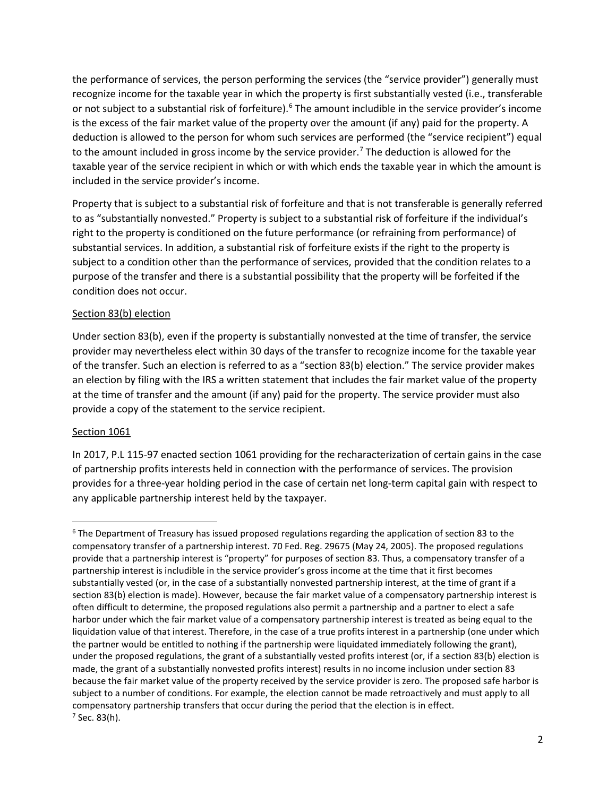the performance of services, the person performing the services (the "service provider") generally must recognize income for the taxable year in which the property is first substantially vested (i.e., transferable or not subject to a substantial risk of forfeiture).<sup>[6](#page-1-0)</sup> The amount includible in the service provider's income is the excess of the fair market value of the property over the amount (if any) paid for the property. A deduction is allowed to the person for whom such services are performed (the "service recipient") equal to the amount included in gross income by the service provider.<sup>[7](#page-1-1)</sup> The deduction is allowed for the taxable year of the service recipient in which or with which ends the taxable year in which the amount is included in the service provider's income.

Property that is subject to a substantial risk of forfeiture and that is not transferable is generally referred to as "substantially nonvested." Property is subject to a substantial risk of forfeiture if the individual's right to the property is conditioned on the future performance (or refraining from performance) of substantial services. In addition, a substantial risk of forfeiture exists if the right to the property is subject to a condition other than the performance of services, provided that the condition relates to a purpose of the transfer and there is a substantial possibility that the property will be forfeited if the condition does not occur.

# Section 83(b) election

Under section 83(b), even if the property is substantially nonvested at the time of transfer, the service provider may nevertheless elect within 30 days of the transfer to recognize income for the taxable year of the transfer. Such an election is referred to as a "section 83(b) election." The service provider makes an election by filing with the IRS a written statement that includes the fair market value of the property at the time of transfer and the amount (if any) paid for the property. The service provider must also provide a copy of the statement to the service recipient.

#### Section 1061

In 2017, P.L 115-97 enacted section 1061 providing for the recharacterization of certain gains in the case of partnership profits interests held in connection with the performance of services. The provision provides for a three-year holding period in the case of certain net long-term capital gain with respect to any applicable partnership interest held by the taxpayer.

<span id="page-1-1"></span><span id="page-1-0"></span><sup>&</sup>lt;sup>6</sup> The Department of Treasury has issued proposed regulations regarding the application of section 83 to the compensatory transfer of a partnership interest. 70 Fed. Reg. 29675 (May 24, 2005). The proposed regulations provide that a partnership interest is "property" for purposes of section 83. Thus, a compensatory transfer of a partnership interest is includible in the service provider's gross income at the time that it first becomes substantially vested (or, in the case of a substantially nonvested partnership interest, at the time of grant if a section 83(b) election is made). However, because the fair market value of a compensatory partnership interest is often difficult to determine, the proposed regulations also permit a partnership and a partner to elect a safe harbor under which the fair market value of a compensatory partnership interest is treated as being equal to the liquidation value of that interest. Therefore, in the case of a true profits interest in a partnership (one under which the partner would be entitled to nothing if the partnership were liquidated immediately following the grant), under the proposed regulations, the grant of a substantially vested profits interest (or, if a section 83(b) election is made, the grant of a substantially nonvested profits interest) results in no income inclusion under section 83 because the fair market value of the property received by the service provider is zero. The proposed safe harbor is subject to a number of conditions. For example, the election cannot be made retroactively and must apply to all compensatory partnership transfers that occur during the period that the election is in effect.  $7$  Sec. 83(h).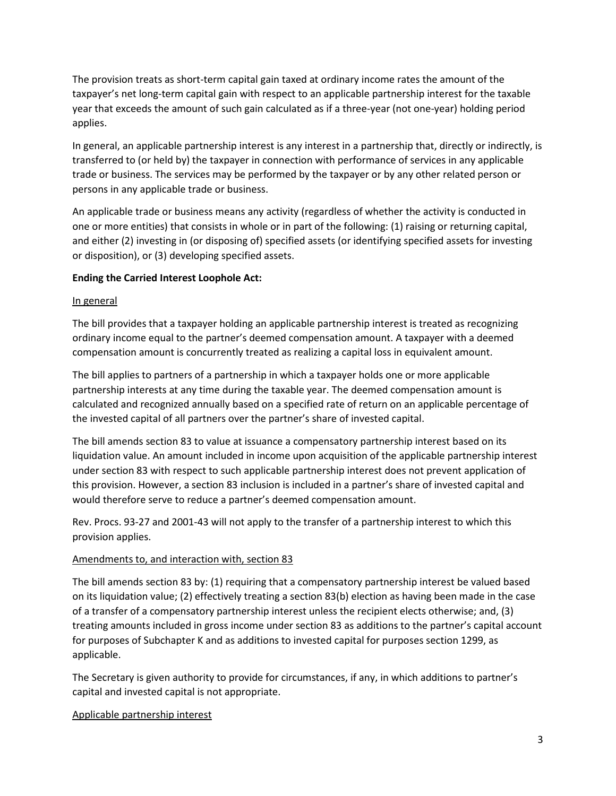The provision treats as short-term capital gain taxed at ordinary income rates the amount of the taxpayer's net long-term capital gain with respect to an applicable partnership interest for the taxable year that exceeds the amount of such gain calculated as if a three-year (not one-year) holding period applies.

In general, an applicable partnership interest is any interest in a partnership that, directly or indirectly, is transferred to (or held by) the taxpayer in connection with performance of services in any applicable trade or business. The services may be performed by the taxpayer or by any other related person or persons in any applicable trade or business.

An applicable trade or business means any activity (regardless of whether the activity is conducted in one or more entities) that consists in whole or in part of the following: (1) raising or returning capital, and either (2) investing in (or disposing of) specified assets (or identifying specified assets for investing or disposition), or (3) developing specified assets.

# **Ending the Carried Interest Loophole Act:**

# In general

The bill provides that a taxpayer holding an applicable partnership interest is treated as recognizing ordinary income equal to the partner's deemed compensation amount. A taxpayer with a deemed compensation amount is concurrently treated as realizing a capital loss in equivalent amount.

The bill applies to partners of a partnership in which a taxpayer holds one or more applicable partnership interests at any time during the taxable year. The deemed compensation amount is calculated and recognized annually based on a specified rate of return on an applicable percentage of the invested capital of all partners over the partner's share of invested capital.

The bill amends section 83 to value at issuance a compensatory partnership interest based on its liquidation value. An amount included in income upon acquisition of the applicable partnership interest under section 83 with respect to such applicable partnership interest does not prevent application of this provision. However, a section 83 inclusion is included in a partner's share of invested capital and would therefore serve to reduce a partner's deemed compensation amount.

Rev. Procs. 93-27 and 2001-43 will not apply to the transfer of a partnership interest to which this provision applies.

#### Amendments to, and interaction with, section 83

The bill amends section 83 by: (1) requiring that a compensatory partnership interest be valued based on its liquidation value; (2) effectively treating a section 83(b) election as having been made in the case of a transfer of a compensatory partnership interest unless the recipient elects otherwise; and, (3) treating amounts included in gross income under section 83 as additions to the partner's capital account for purposes of Subchapter K and as additions to invested capital for purposes section 1299, as applicable.

The Secretary is given authority to provide for circumstances, if any, in which additions to partner's capital and invested capital is not appropriate.

# Applicable partnership interest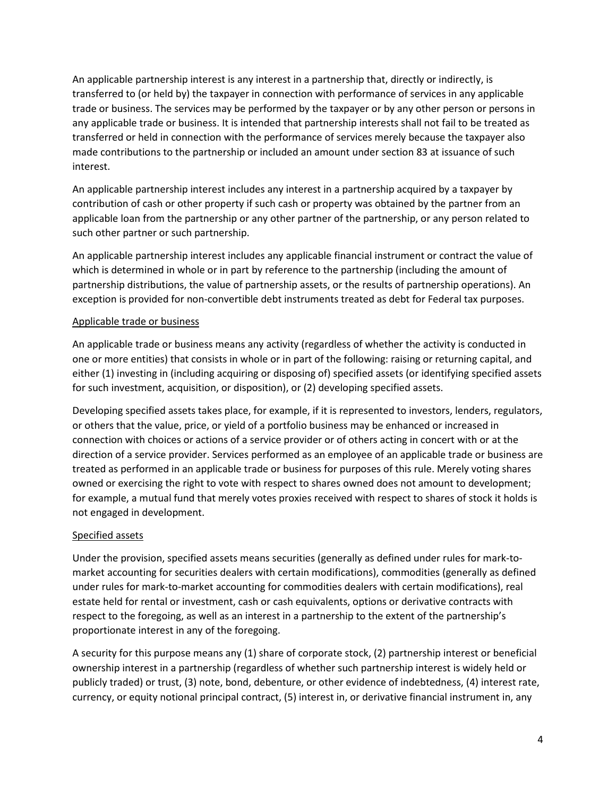An applicable partnership interest is any interest in a partnership that, directly or indirectly, is transferred to (or held by) the taxpayer in connection with performance of services in any applicable trade or business. The services may be performed by the taxpayer or by any other person or persons in any applicable trade or business. It is intended that partnership interests shall not fail to be treated as transferred or held in connection with the performance of services merely because the taxpayer also made contributions to the partnership or included an amount under section 83 at issuance of such interest.

An applicable partnership interest includes any interest in a partnership acquired by a taxpayer by contribution of cash or other property if such cash or property was obtained by the partner from an applicable loan from the partnership or any other partner of the partnership, or any person related to such other partner or such partnership.

An applicable partnership interest includes any applicable financial instrument or contract the value of which is determined in whole or in part by reference to the partnership (including the amount of partnership distributions, the value of partnership assets, or the results of partnership operations). An exception is provided for non-convertible debt instruments treated as debt for Federal tax purposes.

# Applicable trade or business

An applicable trade or business means any activity (regardless of whether the activity is conducted in one or more entities) that consists in whole or in part of the following: raising or returning capital, and either (1) investing in (including acquiring or disposing of) specified assets (or identifying specified assets for such investment, acquisition, or disposition), or (2) developing specified assets.

Developing specified assets takes place, for example, if it is represented to investors, lenders, regulators, or others that the value, price, or yield of a portfolio business may be enhanced or increased in connection with choices or actions of a service provider or of others acting in concert with or at the direction of a service provider. Services performed as an employee of an applicable trade or business are treated as performed in an applicable trade or business for purposes of this rule. Merely voting shares owned or exercising the right to vote with respect to shares owned does not amount to development; for example, a mutual fund that merely votes proxies received with respect to shares of stock it holds is not engaged in development.

#### Specified assets

Under the provision, specified assets means securities (generally as defined under rules for mark-tomarket accounting for securities dealers with certain modifications), commodities (generally as defined under rules for mark-to-market accounting for commodities dealers with certain modifications), real estate held for rental or investment, cash or cash equivalents, options or derivative contracts with respect to the foregoing, as well as an interest in a partnership to the extent of the partnership's proportionate interest in any of the foregoing.

A security for this purpose means any (1) share of corporate stock, (2) partnership interest or beneficial ownership interest in a partnership (regardless of whether such partnership interest is widely held or publicly traded) or trust, (3) note, bond, debenture, or other evidence of indebtedness, (4) interest rate, currency, or equity notional principal contract, (5) interest in, or derivative financial instrument in, any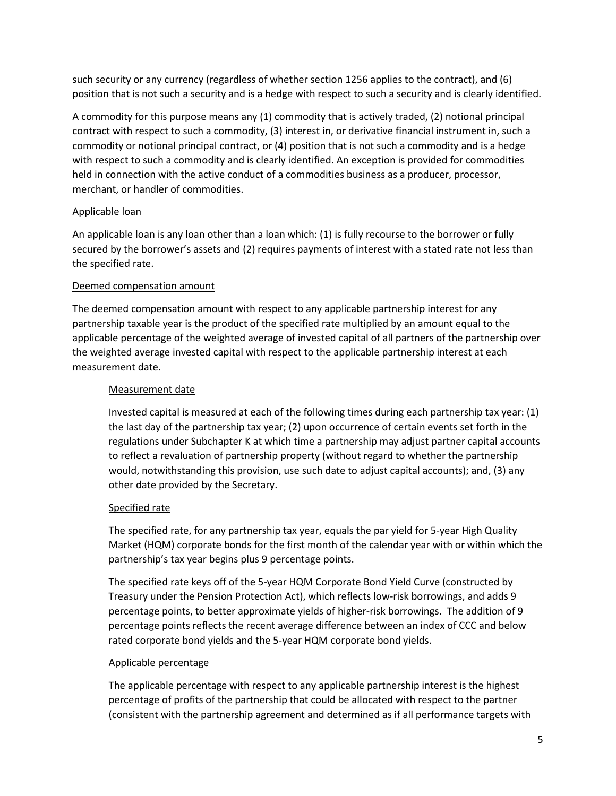such security or any currency (regardless of whether section 1256 applies to the contract), and (6) position that is not such a security and is a hedge with respect to such a security and is clearly identified.

A commodity for this purpose means any (1) commodity that is actively traded, (2) notional principal contract with respect to such a commodity, (3) interest in, or derivative financial instrument in, such a commodity or notional principal contract, or (4) position that is not such a commodity and is a hedge with respect to such a commodity and is clearly identified. An exception is provided for commodities held in connection with the active conduct of a commodities business as a producer, processor, merchant, or handler of commodities.

# Applicable loan

An applicable loan is any loan other than a loan which: (1) is fully recourse to the borrower or fully secured by the borrower's assets and (2) requires payments of interest with a stated rate not less than the specified rate.

# Deemed compensation amount

The deemed compensation amount with respect to any applicable partnership interest for any partnership taxable year is the product of the specified rate multiplied by an amount equal to the applicable percentage of the weighted average of invested capital of all partners of the partnership over the weighted average invested capital with respect to the applicable partnership interest at each measurement date.

# Measurement date

Invested capital is measured at each of the following times during each partnership tax year: (1) the last day of the partnership tax year; (2) upon occurrence of certain events set forth in the regulations under Subchapter K at which time a partnership may adjust partner capital accounts to reflect a revaluation of partnership property (without regard to whether the partnership would, notwithstanding this provision, use such date to adjust capital accounts); and, (3) any other date provided by the Secretary.

#### Specified rate

The specified rate, for any partnership tax year, equals the par yield for 5-year High Quality Market (HQM) corporate bonds for the first month of the calendar year with or within which the partnership's tax year begins plus 9 percentage points.

The specified rate keys off of the 5-year HQM Corporate Bond Yield Curve (constructed by Treasury under the Pension Protection Act), which reflects low-risk borrowings, and adds 9 percentage points, to better approximate yields of higher-risk borrowings. The addition of 9 percentage points reflects the recent average difference between an index of CCC and below rated corporate bond yields and the 5-year HQM corporate bond yields.

#### Applicable percentage

The applicable percentage with respect to any applicable partnership interest is the highest percentage of profits of the partnership that could be allocated with respect to the partner (consistent with the partnership agreement and determined as if all performance targets with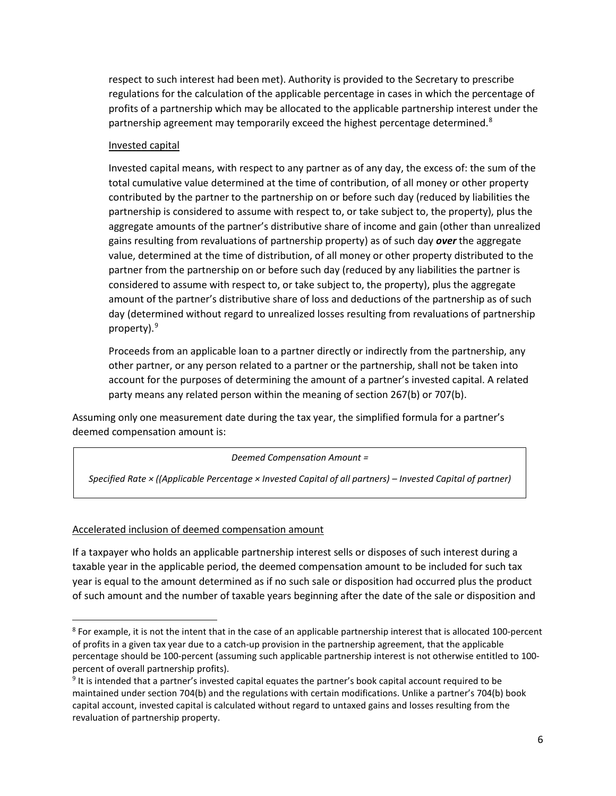respect to such interest had been met). Authority is provided to the Secretary to prescribe regulations for the calculation of the applicable percentage in cases in which the percentage of profits of a partnership which may be allocated to the applicable partnership interest under the partnership agreement may temporarily exceed the highest percentage determined.<sup>[8](#page-5-0)</sup>

#### Invested capital

Invested capital means, with respect to any partner as of any day, the excess of: the sum of the total cumulative value determined at the time of contribution, of all money or other property contributed by the partner to the partnership on or before such day (reduced by liabilities the partnership is considered to assume with respect to, or take subject to, the property), plus the aggregate amounts of the partner's distributive share of income and gain (other than unrealized gains resulting from revaluations of partnership property) as of such day *over* the aggregate value, determined at the time of distribution, of all money or other property distributed to the partner from the partnership on or before such day (reduced by any liabilities the partner is considered to assume with respect to, or take subject to, the property), plus the aggregate amount of the partner's distributive share of loss and deductions of the partnership as of such day (determined without regard to unrealized losses resulting from revaluations of partnership property).[9](#page-5-1)

Proceeds from an applicable loan to a partner directly or indirectly from the partnership, any other partner, or any person related to a partner or the partnership, shall not be taken into account for the purposes of determining the amount of a partner's invested capital. A related party means any related person within the meaning of section 267(b) or 707(b).

Assuming only one measurement date during the tax year, the simplified formula for a partner's deemed compensation amount is:

*Deemed Compensation Amount =* 

*Specified Rate × ((Applicable Percentage × Invested Capital of all partners) – Invested Capital of partner)*

#### Accelerated inclusion of deemed compensation amount

If a taxpayer who holds an applicable partnership interest sells or disposes of such interest during a taxable year in the applicable period, the deemed compensation amount to be included for such tax year is equal to the amount determined as if no such sale or disposition had occurred plus the product of such amount and the number of taxable years beginning after the date of the sale or disposition and

<span id="page-5-0"></span> $8$  For example, it is not the intent that in the case of an applicable partnership interest that is allocated 100-percent of profits in a given tax year due to a catch-up provision in the partnership agreement, that the applicable percentage should be 100-percent (assuming such applicable partnership interest is not otherwise entitled to 100 percent of overall partnership profits).

<span id="page-5-1"></span><sup>9</sup> It is intended that a partner's invested capital equates the partner's book capital account required to be maintained under section 704(b) and the regulations with certain modifications. Unlike a partner's 704(b) book capital account, invested capital is calculated without regard to untaxed gains and losses resulting from the revaluation of partnership property.